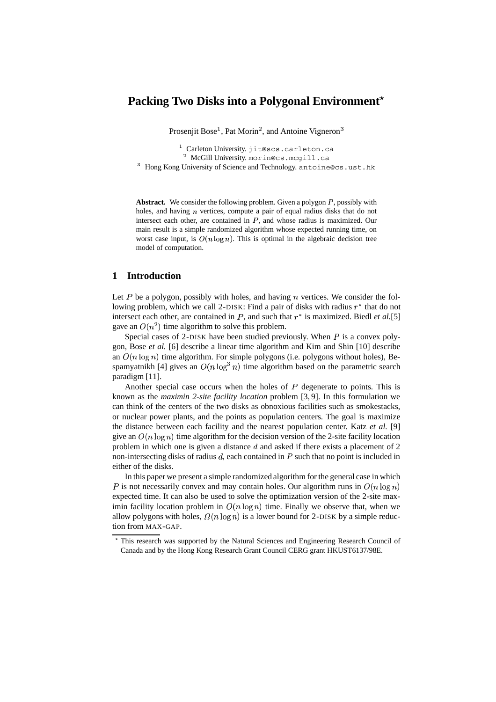# **Packing Two Disks into a Polygonal Environment**

Prosenjit Bose<sup>1</sup>, Pat Morin<sup>2</sup>, and Antoine Vigneron<sup>3</sup>

<sup>1</sup> Carleton University.jit@scs.carleton.ca  $^2$  McGill University.morin@cs.mcgill.ca

 $^3$  Hong Kong University of Science and Technology. antoine@cs.ust.hk

**Abstract.** We consider the following problem. Given a polygon  $P$ , possibly with holes, and having  $n$  vertices, compute a pair of equal radius disks that do not intersect each other, are contained in  $P$ , and whose radius is maximized. Our main result is a simple randomized algorithm whose expected running time, on worst case input, is  $O(n \log n)$ . This is optimal in the algebraic decision tree model of computation.

### **1 Introduction**

Let  $P$  be a polygon, possibly with holes, and having  $n$  vertices. We consider the following problem, which we call 2-DISK: Find a pair of disks with radius  $r^*$  that do not intersect each other, are contained in  $P$ , and such that  $r^*$  is maximized. Biedl *et al.*[5] gave an  $O(n^2)$  time algorithm to solve this problem.

Special cases of 2-DISK have been studied previously. When  $P$  is a convex polygon, Bose *et al.* [6] describe a linear time algorithm and Kim and Shin [10] describe an  $O(n \log n)$  time algorithm. For simple polygons (i.e. polygons without holes), Bespamyatnikh [4] gives an  $O(n \log^3 n)$  time ) time algorithm based on the parametric search paradigm [11].

Another special case occurs when the holes of  $P$  degenerate to points. This is known as the *maximin 2-site facility location* problem [3, 9]. In this formulation we can think of the centers of the two disks as obnoxious facilities such as smokestacks, or nuclear power plants, and the points as population centers. The goal is maximize the distance between each facility and the nearest population center. Katz *et al.* [9] give an  $O(n \log n)$  time algorithm for the decision version of the 2-site facility location problem in which one is given a distance  $d$  and asked if there exists a placement of 2 non-intersecting disks of radius  $d$ , each contained in  $P$  such that no point is included in either of the disks.

In this paper we present a simple randomized algorithm for the general case in which P is not necessarily convex and may contain holes. Our algorithm runs in  $O(n \log n)$ expected time. It can also be used to solve the optimization version of the 2-site maximin facility location problem in  $O(n \log n)$  time. Finally we observe that, when we allow polygons with holes,  $\Omega(n \log n)$  is a lower bound for 2-DISK by a simple reduction from MAX-GAP.

<sup>/</sup> This research was supported by the Natural Sciences and Engineering Research Council of Canada and by the Hong Kong Research Grant Council CERG grant HKUST6137/98E.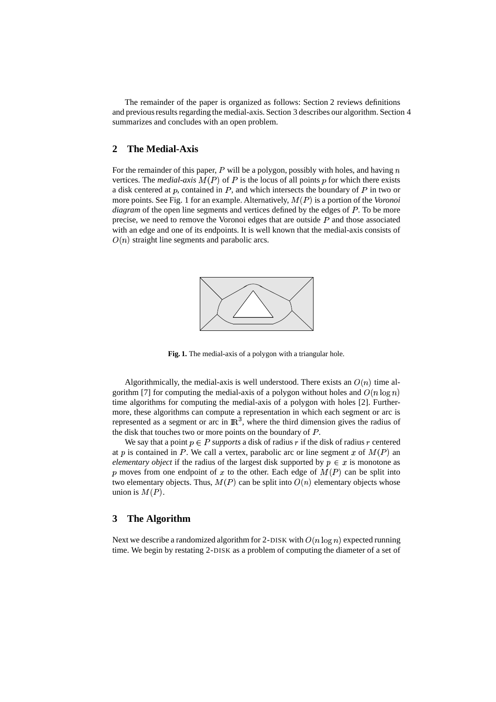The remainder of the paper is organized as follows: Section 2 reviews definitions and previousresults regarding the medial-axis. Section 3 describes our algorithm. Section 4 summarizes and concludes with an open problem.

#### **2 The Medial-Axis**

For the remainder of this paper,  $P$  will be a polygon, possibly with holes, and having  $n$ vertices. The *medial-axis*  $M(P)$  of  $P$  is the locus of all points  $p$  for which there exists a disk centered at  $p$ , contained in  $P$ , and which intersects the boundary of  $P$  in two or more points. See Fig. 1 for an example. Alternatively,  $M(P)$  is a portion of the *Voronoi diagram* of the open line segments and vertices defined by the edges of P. To be more precise, we need to remove the Voronoi edges that are outside  $P$  and those associated with an edge and one of its endpoints. It is well known that the medial-axis consists of  $O(n)$  straight line segments and parabolic arcs.



**Fig. 1.** The medial-axis of a polygon with a triangular hole.

Algorithmically, the medial-axis is well understood. There exists an  $O(n)$  time algorithm [7] for computing the medial-axis of a polygon without holes and  $O(n \log n)$ time algorithms for computing the medial-axis of a polygon with holes [2]. Furthermore, these algorithms can compute a representation in which each segment or arc is represented as a segment or arc in  $\mathbb{R}^3$ , where the thi  $3$ , where the third dimension gives the radius of the disk that touches two or more points on the boundary of  $P$ .

We say that a point  $p \in P$  *supports* a disk of radius  $r$  if the disk of radius  $r$  centered at p is contained in P. We call a vertex, parabolic arc or line segment x of  $M(P)$  an *elementary object* if the radius of the largest disk supported by  $p \in x$  is monotone as p moves from one endpoint of x to the other. Each edge of  $M(P)$  can be split into two elementary objects. Thus,  $M(P)$  can be split into  $O(n)$  elementary objects whose union is  $M(P)$ .

#### **3 The Algorithm**

Next we describe a randomized algorithm for 2-DISK with  $O(n \log n)$  expected running time. We begin by restating 2-DISK as a problem of computing the diameter of a set of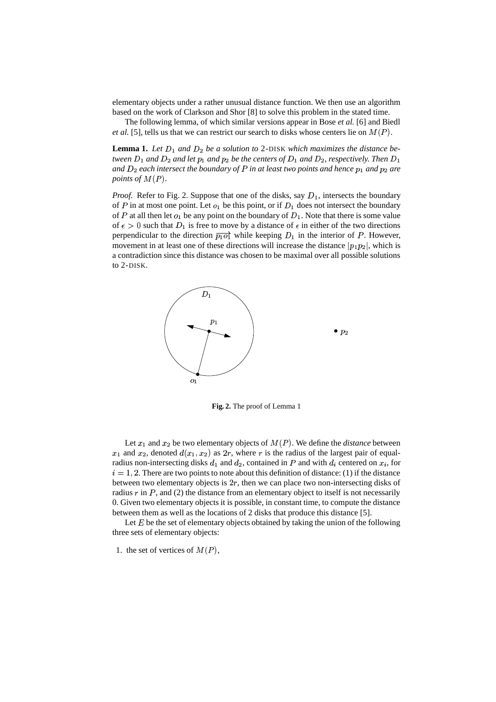elementary objects under a rather unusual distance function. We then use an algorithm based on the work of Clarkson and Shor [8] to solve this problem in the stated time.

The following lemma, of which similar versions appear in Bose *et al.* [6] and Biedl *et al.* [5], tells us that we can restrict our search to disks whose centers lie on  $M(P)$ .

**Lemma 1.** Let  $D_1$  and  $D_2$  be a solution to 2-DISK which maximizes the distance be $t$ ween  $D_1$  and  $D_2$  and let  $p_1$  and  $p_2$  be the centers of  $D_1$  and  $D_2$ , respectively. Then  $D_1$  $a$ nd  $D_2$  each intersect the boundary of  $P$  in at least two points and hence  $p_1$  and  $p_2$  are *points of*  $M(P)$ .

*Proof.* Refer to Fig. 2. Suppose that one of the disks, say  $D_1$ , intersects the boundary of P in at most one point. Let  $o_1$  be this point, or if  $D_1$  does not intersect the boundary of P at all then let  $o_1$  be any point on the boundary of  $D_1$ . Note that there is some value of  $\epsilon > 0$  such that  $D_1$  is free to move by a distance of  $\epsilon$  in either of the two directions perpendicular to the direction  $\overrightarrow{p_1 \circ f}$  while keeping  $D_1$  in the interior of P. However, movement in at least one of these directions will increase the distance  $|p_1p_2|$ , which is a contradiction since this distance was chosen to be maximal over all possible solutions to 2-DISK.



**Fig. 2.** The proof of Lemma 1

Let  $x_1$  and  $x_2$  be two elementary objects of  $M(P)$ . We define the *distance* between  $x_1$  and  $x_2$ , denoted  $d(x_1, x_2)$  as  $2r$ , where r is the radius of the largest pair of equalradius non-intersecting disks  $d_1$  and  $d_2$ , contained in P and with  $d_i$  centered on  $x_i$ , for  $i = 1, 2$ . There are two points to note about this definition of distance: (1) if the distance between two elementary objects is  $2r$ , then we can place two non-intersecting disks of radius  $r$  in  $P$ , and (2) the distance from an elementary object to itself is not necessarily 0. Given two elementary objects it is possible, in constant time, to compute the distance between them as well as the locations of 2 disks that produce this distance [5].

Let  $E$  be the set of elementary objects obtained by taking the union of the following three sets of elementary objects:

1. the set of vertices of  $M(P)$ ,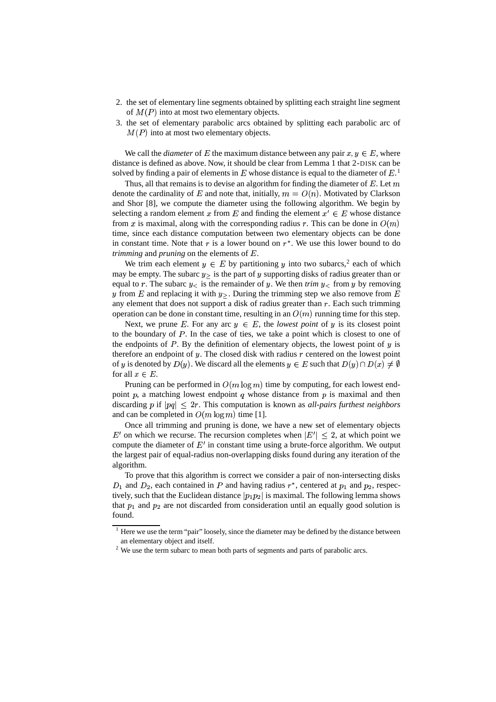- 2. the set of elementary line segments obtained by splitting each straight line segment of  $M(P)$  into at most two elementary objects.
- 3. the set of elementary parabolic arcs obtained by splitting each parabolic arc of  $M(P)$  into at most two elementary objects.

We call the *diameter* of E the maximum distance between any pair  $x, y \in E$ , where distance is defined as above. Now, it should be clear from Lemma 1 that 2-DISK can be solved by finding a pair of elements in  $E$  whose distance is equal to the diameter of  $E<sup>1</sup>$ 

Thus, all that remains is to devise an algorithm for finding the diameter of  $E$ . Let  $m$ denote the cardinality of E and note that, initially,  $m = O(n)$ . Motivated by Clarkson and Shor [8], we compute the diameter using the following algorithm. We begin by selecting a random element x from E and finding the element  $x' \in E$  whose distance from x is maximal, along with the corresponding radius r. This can be done in  $O(m)$ time, since each distance computation between two elementary objects can be done in constant time. Note that  $r$  is a lower bound on  $r^*$ . We use this lower bound to do *trimming* and *pruning* on the elements of E.

We trim each element  $y \in E$  by partitioning y into two subarcs,<sup>2</sup> each of which may be empty. The subarc  $y$ , is the part of y supporting disks of radius greater than or equal to r. The subarc  $y<sub>0</sub>$  is the remainder of y. We then *trim*  $y<sub>0</sub>$  from y by removing y from E and replacing it with  $y$ . During the trimming step we also remove from E any element that does not support a disk of radius greater than  $r$ . Each such trimming operation can be done in constant time, resulting in an  $O(n)$ ) running time for this step.

Next, we prune E. For any arc  $y \in E$ , the *lowest point* of y is its closest point to the boundary of  $P$ . In the case of ties, we take a point which is closest to one of the endpoints of  $P$ . By the definition of elementary objects, the lowest point of  $y$  is therefore an endpoint of  $y$ . The closed disk with radius  $r$  centered on the lowest point of y is denoted by  $D(y)$ . We discard all the elements  $y \in E$  such that  $D(y) \cap D(x) \neq \emptyset$  $D(x) \neq \emptyset$ for all  $x \in E$ .

Pruning can be performed in  $O(m \log m)$  time by co ) time by computing, for each lowest endpoint  $p$ , a matching lowest endpoint  $q$  whose distance from  $p$  is maximal and then discarding  $p$  if  $|pq| \leq 2r$ . This computation is known as *all-pairs furthest neighbors* and can be completed in  $O(m \log m)$  time [1]. ) time  $[1]$ .

Once all trimming and pruning is done, we have a new set of elementary objects  $E'$  on which we recurse. The recursion completes when  $|E'| < 2$ , at which point we compute the diameter of  $E'$  in constant time using a brute-force algorithm. We output the largest pair of equal-radius non-overlapping disks found during any iteration of the algorithm.

To prove that this algorithm is correct we consider a pair of non-intersecting disks  $D_1$  and  $D_2$ , each contained in P and having radius  $r^*$ , centered at  $p_1$  and  $p_2$ , respectively, such that the Euclidean distance  $|p_1p_2|$  is maximal. The following lemma shows that  $p_1$  and  $p_2$  are not discarded from consideration until an equally good solution is found.

 $1$  Here we use the term "pair" loosely, since the diameter may be defined by the distance between an elementary object and itself.

<sup>&</sup>lt;sup>2</sup> We use the term subarc to mean both parts of segments and parts of parabolic arcs.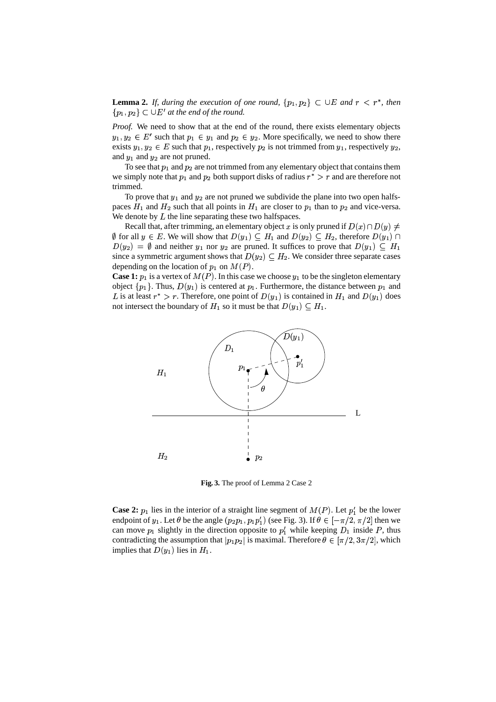**Lemma 2.** If, during the execution of one round,  $\{p_1, p_2\} \subset \bigcup E$  and  $r < r^*$ , then  $\{p_1, p_2\} \subset \bigcup E'$  at the end of the round.

*Proof.* We need to show that at the end of the round, there exists elementary objects  $y_1, y_2 \in E'$  such that  $p_1 \in y_1$  and  $p_2 \in y_2$ . More specifically, we need to show there exists  $y_1, y_2 \in E$  such that  $p_1$ , respectively  $p_2$  is not trimmed from  $y_1$ , respectively  $y$  , and  $y_1$  and  $y_2$  are not pruned.

To see that  $p_1$  and  $p_2$  are not trimmed from any elementary object that contains them we simply note that  $p_1$  and  $p_2$  both support disks of radius  $r^* > r$  and are therefore not trimmed.

To prove that  $y_1$  and  $y_2$  are not pruned we subdivide the plane into two open halfspaces  $H_1$  and  $H_2$  such that all points in  $H_1$  are closer to  $p_1$  than to  $p_2$  and vice-versa. We denote by  $L$  the line separating these two halfspaces.

Recall that, after trimming, an elementary object x is only pruned if  $D(x) \cap D(y) \neq 0$  $\emptyset$  for all  $y \in E$ . We will show that  $D(y_1) \subseteq H_1$  and  $D(y_2) \subseteq H_2$ , therefore  $D(y_1) \cap$  $D(y_2) = \emptyset$  and neither  $y_1$  nor  $y_2$  are pruned. It suffices to prove that  $D(y_1) \subseteq H_1$ since a symmetric argument shows that  $D(y_2) \subseteq H_2$ . We consider three separate cases depending on the location of  $p_1$  on  $M(P)$ .

**Case 1:**  $p_1$  is a vertex of  $M(P)$ . In this case we choose  $y_1$  to be the singleton elementary object  $\{p_1\}$ . Thus,  $D(y_1)$  is centered at  $p_1$ . Furthermore, the distance between  $p_1$  and L is at least  $r^* > r$ . Therefore, one point of  $D(y_1)$  is contained in  $H_1$  and  $D(y_1)$  does not intersect the boundary of  $H_1$  so it must be that  $D(y_1) \subseteq H_1$ .



**Fig. 3.** The proof of Lemma 2 Case 2

**Case 2:**  $p_1$  lies in the interior of a straight line segment of  $M(P)$ . Let  $p'_1$  be the lower endpoint of  $y_1$ . Let  $\theta$  be the angle  $(p_2p_1, p_1p'_1)$  (see Fig. 3). If  $\theta \in [-\pi/2, \pi/2]$  then we can move  $p_1$  slightly in the direction opposite to  $p'_1$  while keeping  $D_1$  inside P, thus contradicting the assumption that  $|p_1p_2|$  is maximal. Therefore  $\theta \in [\pi/2, 3\pi/2]$ , which implies that  $D(y_1)$  lies in  $H_1$ .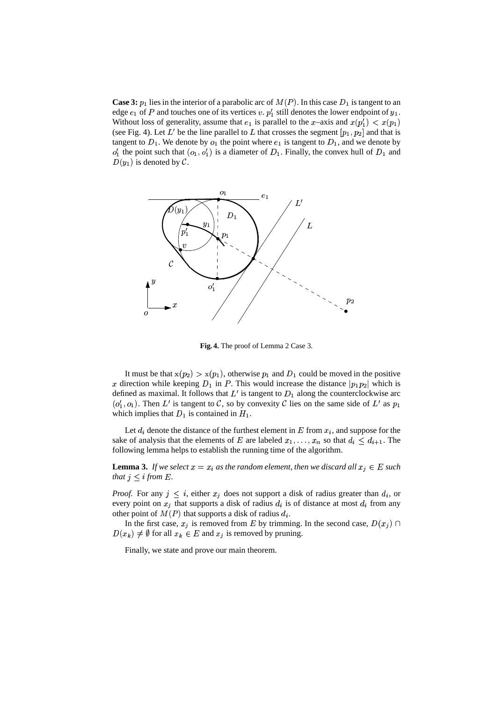**Case 3:**  $p_1$  lies in the interior of a parabolic arc of  $M(P)$ . In this case  $D_1$  is tangent to an edge  $e_1$  of P and touches one of its vertices v.  $p'_1$  still denotes the lower endpoint of  $y_1$ . Without loss of generality, assume that  $e_1$  is parallel to the x-axis and  $x(p'_1) < x(p_1)$ (see Fig. 4). Let L' be the line parallel to L that crosses the segment  $[p_1, p_2]$  and that is tangent to  $D_1$ . We denote by  $o_1$  the point where  $e_1$  is tangent to  $D_1$ , and we denote by  $o'_1$  the point such that  $(o_1, o'_1)$  is a diameter of  $D_1$ . Finally, the convex hull of  $D_1$  and  $D(y_1)$  is denoted by  $\mathcal{C}$ .



**Fig. 4.** The proof of Lemma 2 Case 3.

It must be that  $x(p_2) > x(p_1)$ , otherwise  $p_1$  and  $D_1$  could be moved in the positive x direction while keeping  $D_1$  in P. This would increase the distance  $|p_1p_2|$  which is defined as maximal. It follows that  $L'$  is tangent to  $D_1$  along the counterclockwise arc  $(o'_1, o_1)$ . Then L' is tangent to C, so by convexity C lies on the same side of L' as  $p_1$ which implies that  $D_1$  is contained in  $H_1$ .

Let  $d_i$  denote the distance of the furthest element in  $E$  from  $x_i$ , and suppose for the sake of analysis that the elements of E are labeled  $x_1, \ldots, x_n$  so that  $d_i \leq d_{i+1}$ . The following lemma helps to establish the running time of the algorithm.

**Lemma 3.** If we select  $x = x_i$  as the random element, then we discard all  $x_j \in E$  such *that*  $j \leq i$  *from*  $E$ .

*Proof.* For any  $j \leq i$ , either  $x_j$  does not support a disk of radius greater than  $d_i$ , or every point on  $x_j$  that supports a disk of radius  $d_i$  is of distance at most  $d_i$  from any other point of  $M(P)$  that supports a disk of radius  $d_i$ .

In the first case,  $x_j$  is removed from E by trimming. In the second case,  $D(x_j) \cap$  $D(x_k) \neq \emptyset$  for all  $x_k \in E$  and  $x_j$  is removed by pruning.

Finally, we state and prove our main theorem.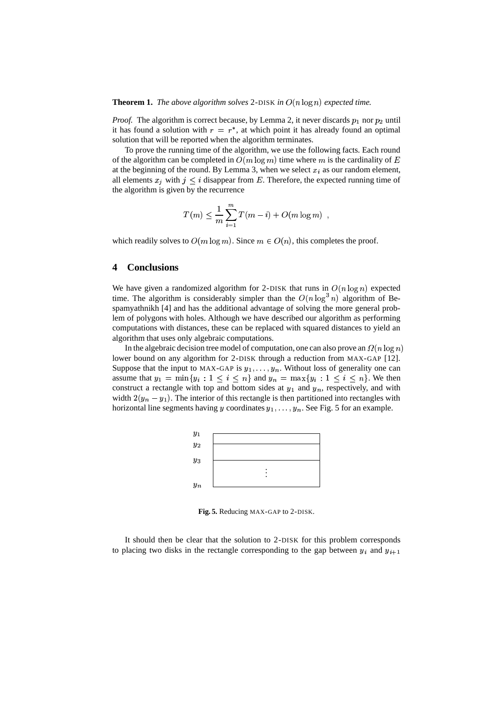**Theorem 1.** *The above algorithm solves* 2-DISK *in*  $O(n \log n)$  *expected time.* 

*Proof.* The algorithm is correct because, by Lemma 2, it never discards  $p_1$  nor  $p_2$  until it has found a solution with  $r = r^*$ , at which point it has already found an optimal solution that will be reported when the algorithm terminates.

To prove the running time of the algorithm, we use the following facts. Each round of the algorithm can be completed in  $O(m \log m)$  time where m is ) time where  $m$  is the cardinality of  $E$ at the beginning of the round. By Lemma 3, when we select  $x_i$  as our random element, all elements  $x_j$  with  $j \leq i$  disappear from E. Therefore, the expected running time of the algorithm is given by the recurrence

$$
T(m) \leq \frac{1}{m} \sum_{i=1}^{m} T(m-i) + O(m \log m) ,
$$

which readily solves to  $O(m \log m)$ . Since  $m \in O(n)$ ). Since  $m \in O(n)$ , this completes the proof.

# **4 Conclusions**

We have given a randomized algorithm for 2-DISK that runs in  $O(n \log n)$  expected time. The algorithm is considerably simpler than the  $O(n \log^3 n)$  algor algorithm of Bespamyathnikh [4] and has the additional advantage of solving the more general problem of polygons with holes. Although we have described our algorithm as performing computations with distances, these can be replaced with squared distances to yield an algorithm that uses only algebraic computations.

In the algebraic decision tree model of computation, one can also prove an  $\Omega(n \log n)$ lower bound on any algorithm for 2-DISK through a reduction from MAX-GAP [12]. Suppose that the input to MAX-GAP is  $y_1, \ldots, y_n$ . Without loss of generality one can assume that  $y_1 = \min\{y_i : 1 \le i \le n\}$  and  $y_n = \max\{y_i : 1 \le i \le n\}$ . We then construct a rectangle with top and bottom sides at  $y_1$  and  $y_n$ , respectively, and with width  $2(y_n - y_1)$ . The interior of this rectangle is then partitioned into rectangles with horizontal line segments having y coordinates  $y_1, \ldots, y_n$ . See Fig. 5 for an example.



**Fig. 5.** Reducing MAX-GAP to 2-DISK.

It should then be clear that the solution to 2-DISK for this problem corresponds to placing two disks in the rectangle corresponding to the gap between  $y_i$  and  $y_{i+1}$  $\mathbf{1}$  . The set of  $\mathbf{1}$